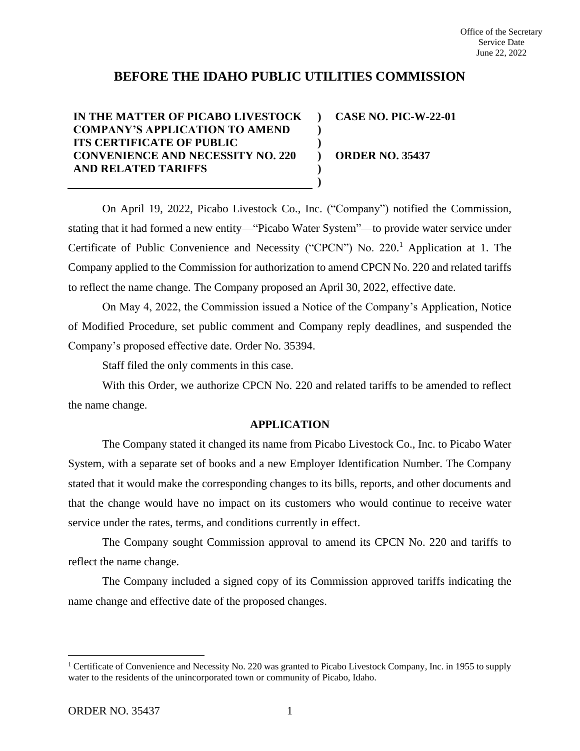# **BEFORE THE IDAHO PUBLIC UTILITIES COMMISSION**

**) ) ) ) ) )**

**IN THE MATTER OF PICABO LIVESTOCK COMPANY'S APPLICATION TO AMEND ITS CERTIFICATE OF PUBLIC CONVENIENCE AND NECESSITY NO. 220 AND RELATED TARIFFS**

**CASE NO. PIC-W-22-01**

**ORDER NO. 35437**

On April 19, 2022, Picabo Livestock Co., Inc. ("Company") notified the Commission, stating that it had formed a new entity—"Picabo Water System"—to provide water service under Certificate of Public Convenience and Necessity ("CPCN") No. 220.<sup>1</sup> Application at 1. The Company applied to the Commission for authorization to amend CPCN No. 220 and related tariffs to reflect the name change. The Company proposed an April 30, 2022, effective date.

On May 4, 2022, the Commission issued a Notice of the Company's Application, Notice of Modified Procedure, set public comment and Company reply deadlines, and suspended the Company's proposed effective date. Order No. 35394.

Staff filed the only comments in this case.

With this Order, we authorize CPCN No. 220 and related tariffs to be amended to reflect the name change.

## **APPLICATION**

The Company stated it changed its name from Picabo Livestock Co., Inc. to Picabo Water System, with a separate set of books and a new Employer Identification Number. The Company stated that it would make the corresponding changes to its bills, reports, and other documents and that the change would have no impact on its customers who would continue to receive water service under the rates, terms, and conditions currently in effect.

The Company sought Commission approval to amend its CPCN No. 220 and tariffs to reflect the name change.

The Company included a signed copy of its Commission approved tariffs indicating the name change and effective date of the proposed changes.

<sup>&</sup>lt;sup>1</sup> Certificate of Convenience and Necessity No. 220 was granted to Picabo Livestock Company, Inc. in 1955 to supply water to the residents of the unincorporated town or community of Picabo, Idaho.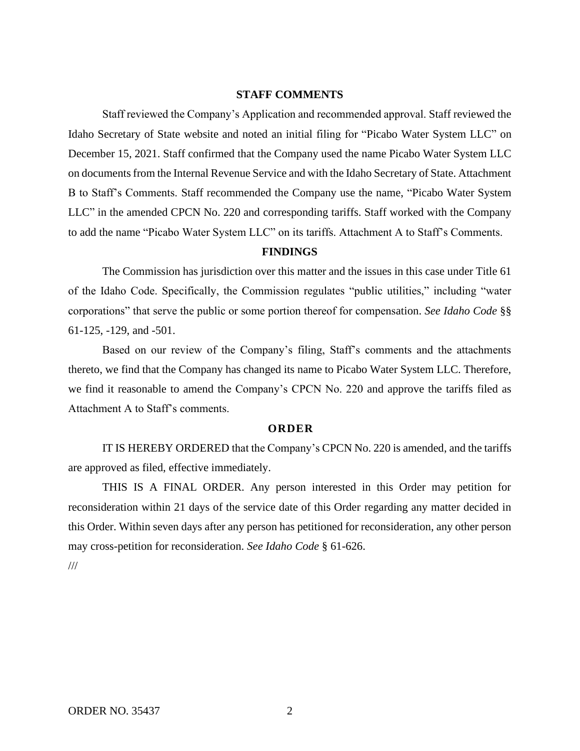# **STAFF COMMENTS**

Staff reviewed the Company's Application and recommended approval. Staff reviewed the Idaho Secretary of State website and noted an initial filing for "Picabo Water System LLC" on December 15, 2021. Staff confirmed that the Company used the name Picabo Water System LLC on documents from the Internal Revenue Service and with the Idaho Secretary of State. Attachment B to Staff's Comments. Staff recommended the Company use the name, "Picabo Water System LLC" in the amended CPCN No. 220 and corresponding tariffs. Staff worked with the Company to add the name "Picabo Water System LLC" on its tariffs. Attachment A to Staff's Comments.

## **FINDINGS**

The Commission has jurisdiction over this matter and the issues in this case under Title 61 of the Idaho Code. Specifically, the Commission regulates "public utilities," including "water corporations" that serve the public or some portion thereof for compensation. *See Idaho Code* §§ 61-125, -129, and -501.

Based on our review of the Company's filing, Staff's comments and the attachments thereto, we find that the Company has changed its name to Picabo Water System LLC. Therefore, we find it reasonable to amend the Company's CPCN No. 220 and approve the tariffs filed as Attachment A to Staff's comments.

#### **ORDER**

IT IS HEREBY ORDERED that the Company's CPCN No. 220 is amended, and the tariffs are approved as filed, effective immediately.

THIS IS A FINAL ORDER. Any person interested in this Order may petition for reconsideration within 21 days of the service date of this Order regarding any matter decided in this Order. Within seven days after any person has petitioned for reconsideration, any other person may cross-petition for reconsideration. *See Idaho Code* § 61-626.

///